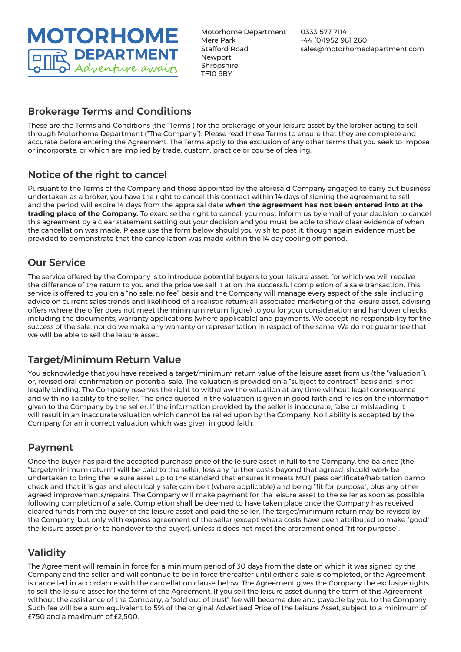**MOTORHOME DEPARTMENT** Adventure awaits

Motorhome Department Mere Park Stafford Road Newport **Shropshire** TF10 9BY

0333 577 7114 +44 (0)1952 981 260 sales@motorhomedepartment.com

### Brokerage Terms and Conditions

These are the Terms and Conditions (the "Terms") for the brokerage of your leisure asset by the broker acting to sell through Motorhome Department ("The Company"). Please read these Terms to ensure that they are complete and accurate before entering the Agreement. The Terms apply to the exclusion of any other terms that you seek to impose or incorporate, or which are implied by trade, custom, practice or course of dealing.

## Notice of the right to cancel

Pursuant to the Terms of the Company and those appointed by the aforesaid Company engaged to carry out business undertaken as a broker, you have the right to cancel this contract within 14 days of signing the agreement to sell and the period will expire 14 days from the appraisal date **when the agreement has not been entered into at the trading place of the Company.** To exercise the right to cancel, you must inform us by email of your decision to cancel this agreement by a clear statement setting out your decision and you must be able to show clear evidence of when the cancellation was made. Please use the form below should you wish to post it, though again evidence must be provided to demonstrate that the cancellation was made within the 14 day cooling off period.

### Our Service

The service offered by the Company is to introduce potential buyers to your leisure asset, for which we will receive the difference of the return to you and the price we sell it at on the successful completion of a sale transaction. This service is offered to you on a "no sale, no fee" basis and the Company will manage every aspect of the sale, including advice on current sales trends and likelihood of a realistic return; all associated marketing of the leisure asset, advising offers (where the offer does not meet the minimum return figure) to you for your consideration and handover checks including the documents, warranty applications (where applicable) and payments. We accept no responsibility for the success of the sale, nor do we make any warranty or representation in respect of the same. We do not guarantee that we will be able to sell the leisure asset.

## Target/Minimum Return Value

You acknowledge that you have received a target/minimum return value of the leisure asset from us (the "valuation"), or, revised oral confirmation on potential sale. The valuation is provided on a "subject to contract" basis and is not legally binding. The Company reserves the right to withdraw the valuation at any time without legal consequence and with no liability to the seller. The price quoted in the valuation is given in good faith and relies on the information given to the Company by the seller. If the information provided by the seller is inaccurate, false or misleading it will result in an inaccurate valuation which cannot be relied upon by the Company. No liability is accepted by the Company for an incorrect valuation which was given in good faith.

## Payment

Once the buyer has paid the accepted purchase price of the leisure asset in full to the Company, the balance (the "target/minimum return") will be paid to the seller, less any further costs beyond that agreed, should work be undertaken to bring the leisure asset up to the standard that ensures it meets MOT pass certificate/habitation damp check and that it is gas and electrically safe; cam belt (where applicable) and being "fit for purpose", plus any other agreed improvements/repairs. The Company will make payment for the leisure asset to the seller as soon as possible following completion of a sale. Completion shall be deemed to have taken place once the Company has received cleared funds from the buyer of the leisure asset and paid the seller. The target/minimum return may be revised by the Company, but only with express agreement of the seller (except where costs have been attributed to make "good" the leisure asset prior to handover to the buyer), unless it does not meet the aforementioned "fit for purpose".

# Validity

The Agreement will remain in force for a minimum period of 30 days from the date on which it was signed by the Company and the seller and will continue to be in force thereafter until either a sale is completed, or the Agreement is cancelled in accordance with the cancellation clause below. The Agreement gives the Company the exclusive rights to sell the leisure asset for the term of the Agreement. If you sell the leisure asset during the term of this Agreement without the assistance of the Company, a "sold out of trust" fee will become due and payable by you to the Company. Such fee will be a sum equivalent to 5% of the original Advertised Price of the Leisure Asset, subject to a minimum of £750 and a maximum of £2,500.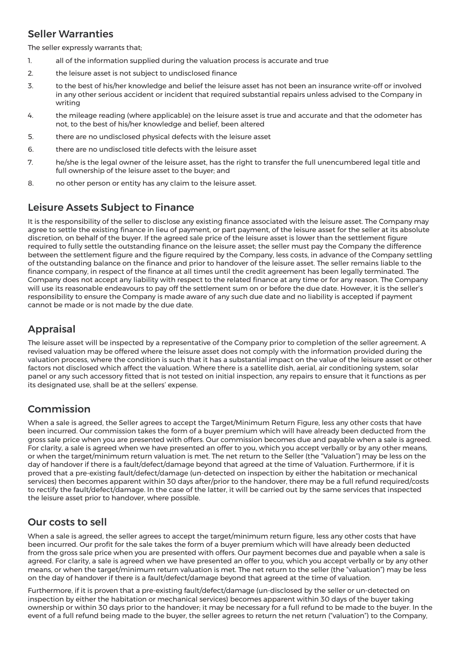### Seller Warranties

The seller expressly warrants that;

- 1. all of the information supplied during the valuation process is accurate and true
- 2. the leisure asset is not subject to undisclosed finance
- 3. to the best of his/her knowledge and belief the leisure asset has not been an insurance write-off or involved in any other serious accident or incident that required substantial repairs unless advised to the Company in writing
- 4. the mileage reading (where applicable) on the leisure asset is true and accurate and that the odometer has not, to the best of his/her knowledge and belief, been altered
- 5. there are no undisclosed physical defects with the leisure asset
- 6. there are no undisclosed title defects with the leisure asset
- 7. he/she is the legal owner of the leisure asset, has the right to transfer the full unencumbered legal title and full ownership of the leisure asset to the buyer; and
- 8. no other person or entity has any claim to the leisure asset.

### Leisure Assets Subject to Finance

It is the responsibility of the seller to disclose any existing finance associated with the leisure asset. The Company may agree to settle the existing finance in lieu of payment, or part payment, of the leisure asset for the seller at its absolute discretion, on behalf of the buyer. If the agreed sale price of the leisure asset is lower than the settlement figure required to fully settle the outstanding finance on the leisure asset; the seller must pay the Company the difference between the settlement figure and the figure required by the Company, less costs, in advance of the Company settling of the outstanding balance on the finance and prior to handover of the leisure asset. The seller remains liable to the finance company, in respect of the finance at all times until the credit agreement has been legally terminated. The Company does not accept any liability with respect to the related finance at any time or for any reason. The Company will use its reasonable endeavours to pay off the settlement sum on or before the due date. However, it is the seller's responsibility to ensure the Company is made aware of any such due date and no liability is accepted if payment cannot be made or is not made by the due date.

# Appraisal

The leisure asset will be inspected by a representative of the Company prior to completion of the seller agreement. A revised valuation may be offered where the leisure asset does not comply with the information provided during the valuation process, where the condition is such that it has a substantial impact on the value of the leisure asset or other factors not disclosed which affect the valuation. Where there is a satellite dish, aerial, air conditioning system, solar panel or any such accessory fitted that is not tested on initial inspection, any repairs to ensure that it functions as per its designated use, shall be at the sellers' expense.

### Commission

When a sale is agreed, the Seller agrees to accept the Target/Minimum Return Figure, less any other costs that have been incurred. Our commission takes the form of a buyer premium which will have already been deducted from the gross sale price when you are presented with offers. Our commission becomes due and payable when a sale is agreed. For clarity, a sale is agreed when we have presented an offer to you, which you accept verbally or by any other means, or when the target/minimum return valuation is met. The net return to the Seller (the "Valuation") may be less on the day of handover if there is a fault/defect/damage beyond that agreed at the time of Valuation. Furthermore, if it is proved that a pre-existing fault/defect/damage (un-detected on inspection by either the habitation or mechanical services) then becomes apparent within 30 days after/prior to the handover, there may be a full refund required/costs to rectify the fault/defect/damage. In the case of the latter, it will be carried out by the same services that inspected the leisure asset prior to handover, where possible.

### Our costs to sell

When a sale is agreed, the seller agrees to accept the target/minimum return figure, less any other costs that have been incurred. Our profit for the sale takes the form of a buyer premium which will have already been deducted from the gross sale price when you are presented with offers. Our payment becomes due and payable when a sale is agreed. For clarity, a sale is agreed when we have presented an offer to you, which you accept verbally or by any other means, or when the target/minimum return valuation is met. The net return to the seller (the "valuation") may be less on the day of handover if there is a fault/defect/damage beyond that agreed at the time of valuation.

Furthermore, if it is proven that a pre-existing fault/defect/damage (un-disclosed by the seller or un-detected on inspection by either the habitation or mechanical services) becomes apparent within 30 days of the buyer taking ownership or within 30 days prior to the handover; it may be necessary for a full refund to be made to the buyer. In the event of a full refund being made to the buyer, the seller agrees to return the net return ("valuation") to the Company,